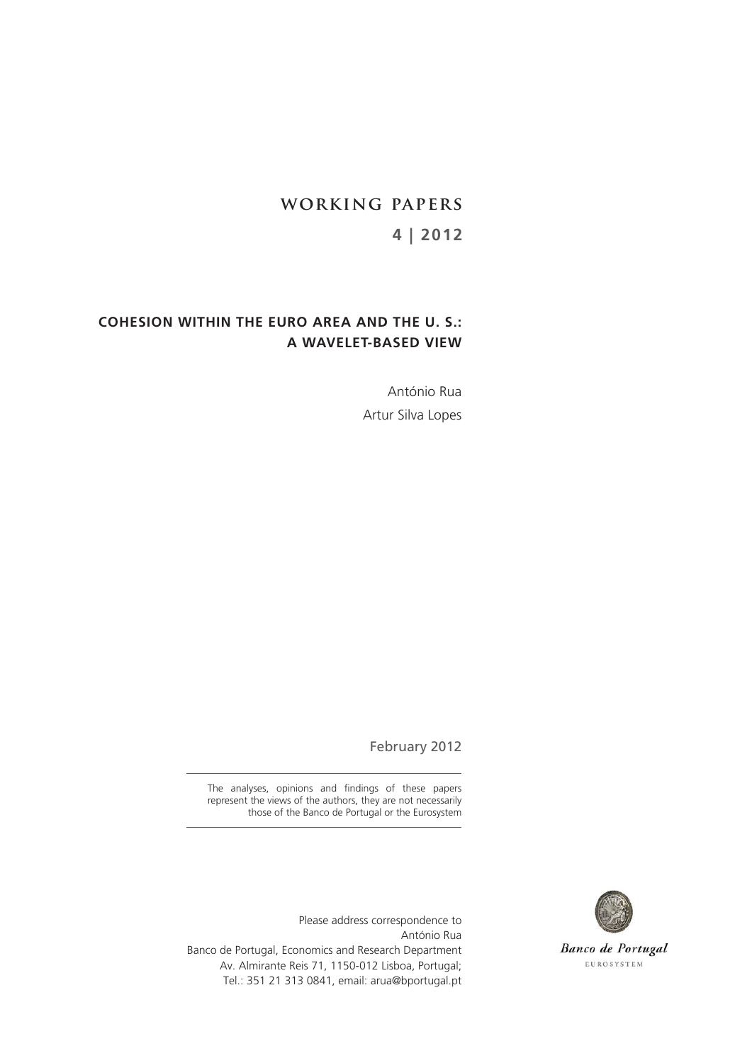# **working papers 4 | 2012**

# **COHESION WITHIN THE EURO AREA AND THE U. S.: A WAVELET-BASED VIEW**

António Rua Artur Silva Lopes

February 2012

The analyses, opinions and findings of these papers represent the views of the authors, they are not necessarily those of the Banco de Portugal or the Eurosystem



Banco de Portugal EUROSYSTEM

Please address correspondence to António Rua Banco de Portugal, Economics and Research Department Av. Almirante Reis 71, 1150-012 Lisboa, Portugal; Tel.: 351 21 313 0841, email: arua@bportugal.pt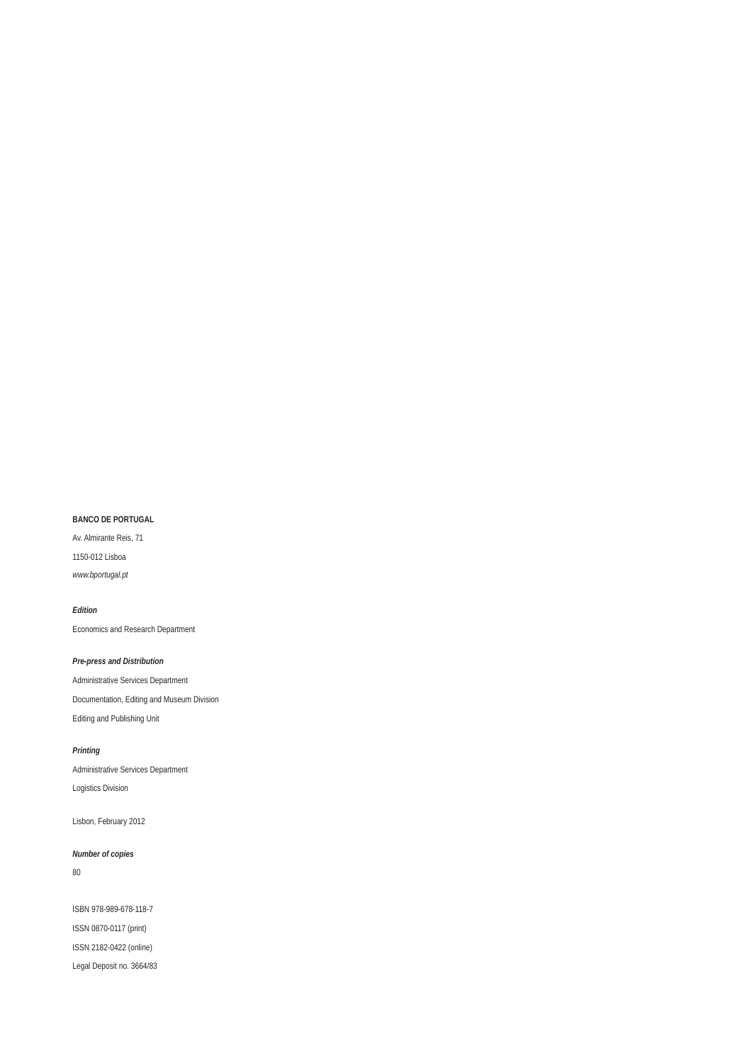## **BANCO DE PORTUGAL**

Av. Almirante Reis, 71 1150-012 Lisboa *www.bportugal.pt*

#### *Edition*

Economics and Research Department

## *Pre-press and Distribution*

Administrative Services Department Documentation, Editing and Museum Division Editing and Publishing Unit

#### *Printing*

Administrative Services Department Logistics Division

Lisbon, February 2012

#### *Number of copies*

80

ISBN 978-989-678-118-7 ISSN 0870-0117 (print) ISSN 2182-0422 (online) Legal Deposit no. 3664/83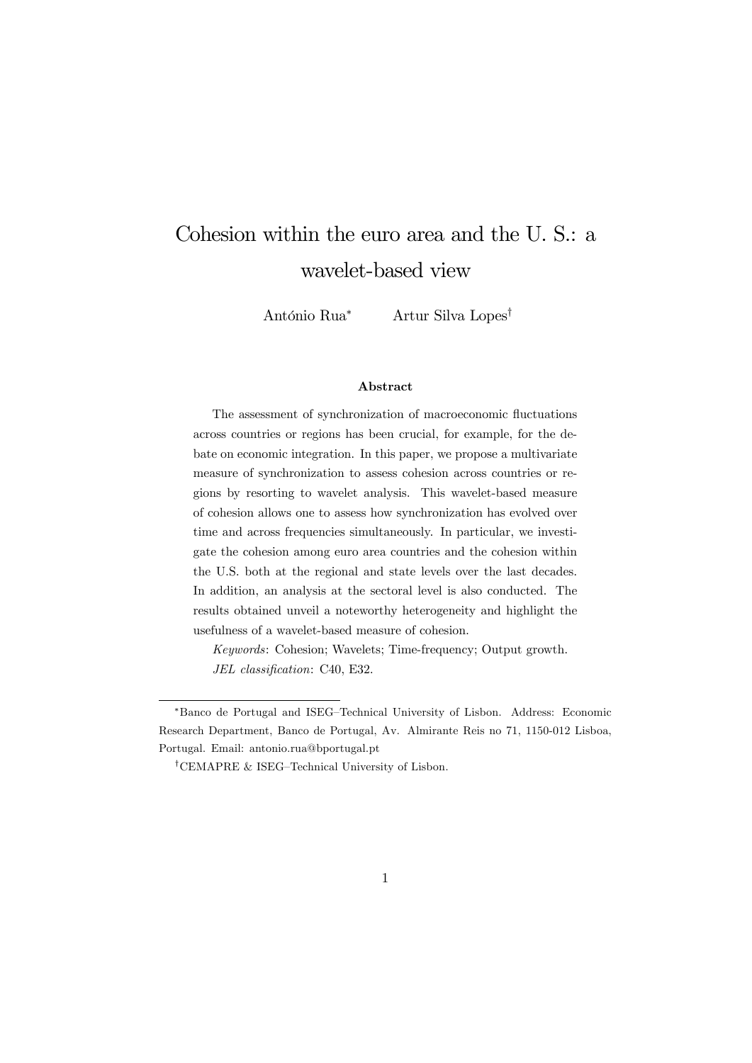# Cohesion within the euro area and the U. S.: a wavelet-based view

António Rua<sup>∗</sup> Artur Silva Lopes†

## Abstract

The assessment of synchronization of macroeconomic fluctuations across countries or regions has been crucial, for example, for the debate on economic integration. In this paper, we propose a multivariate measure of synchronization to assess cohesion across countries or regions by resorting to wavelet analysis. This wavelet-based measure of cohesion allows one to assess how synchronization has evolved over time and across frequencies simultaneously. In particular, we investigate the cohesion among euro area countries and the cohesion within the U.S. both at the regional and state levels over the last decades. In addition, an analysis at the sectoral level is also conducted. The results obtained unveil a noteworthy heterogeneity and highlight the usefulness of a wavelet-based measure of cohesion.

Keywords: Cohesion; Wavelets; Time-frequency; Output growth. JEL classification: C40, E32.

<sup>∗</sup>Banco de Portugal and ISEG—Technical University of Lisbon. Address: Economic Research Department, Banco de Portugal, Av. Almirante Reis no 71, 1150-012 Lisboa, Portugal. Email: antonio.rua@bportugal.pt

<sup>†</sup>CEMAPRE & ISEG—Technical University of Lisbon.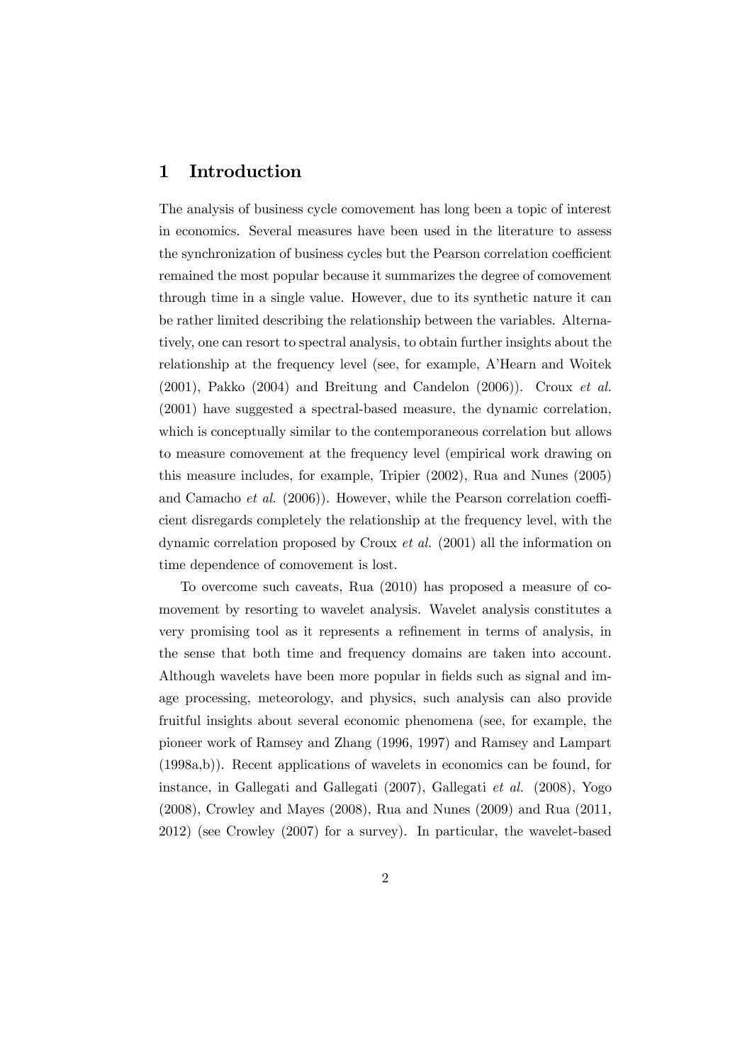# 1 Introduction

The analysis of business cycle comovement has long been a topic of interest in economics. Several measures have been used in the literature to assess the synchronization of business cycles but the Pearson correlation coefficient remained the most popular because it summarizes the degree of comovement through time in a single value. However, due to its synthetic nature it can be rather limited describing the relationship between the variables. Alternatively, one can resort to spectral analysis, to obtain further insights about the relationship at the frequency level (see, for example, A'Hearn and Woitek  $(2001)$ , Pakko  $(2004)$  and Breitung and Candelon  $(2006)$ ). Croux *et al.* (2001) have suggested a spectral-based measure, the dynamic correlation, which is conceptually similar to the contemporaneous correlation but allows to measure comovement at the frequency level (empirical work drawing on this measure includes, for example, Tripier (2002), Rua and Nunes (2005) and Camacho et al. (2006)). However, while the Pearson correlation coefficient disregards completely the relationship at the frequency level, with the dynamic correlation proposed by Croux et al. (2001) all the information on time dependence of comovement is lost.

To overcome such caveats, Rua (2010) has proposed a measure of comovement by resorting to wavelet analysis. Wavelet analysis constitutes a very promising tool as it represents a refinement in terms of analysis, in the sense that both time and frequency domains are taken into account. Although wavelets have been more popular in fields such as signal and image processing, meteorology, and physics, such analysis can also provide fruitful insights about several economic phenomena (see, for example, the pioneer work of Ramsey and Zhang (1996, 1997) and Ramsey and Lampart (1998a,b)). Recent applications of wavelets in economics can be found, for instance, in Gallegati and Gallegati (2007), Gallegati et al. (2008), Yogo (2008), Crowley and Mayes (2008), Rua and Nunes (2009) and Rua (2011, 2012) (see Crowley (2007) for a survey). In particular, the wavelet-based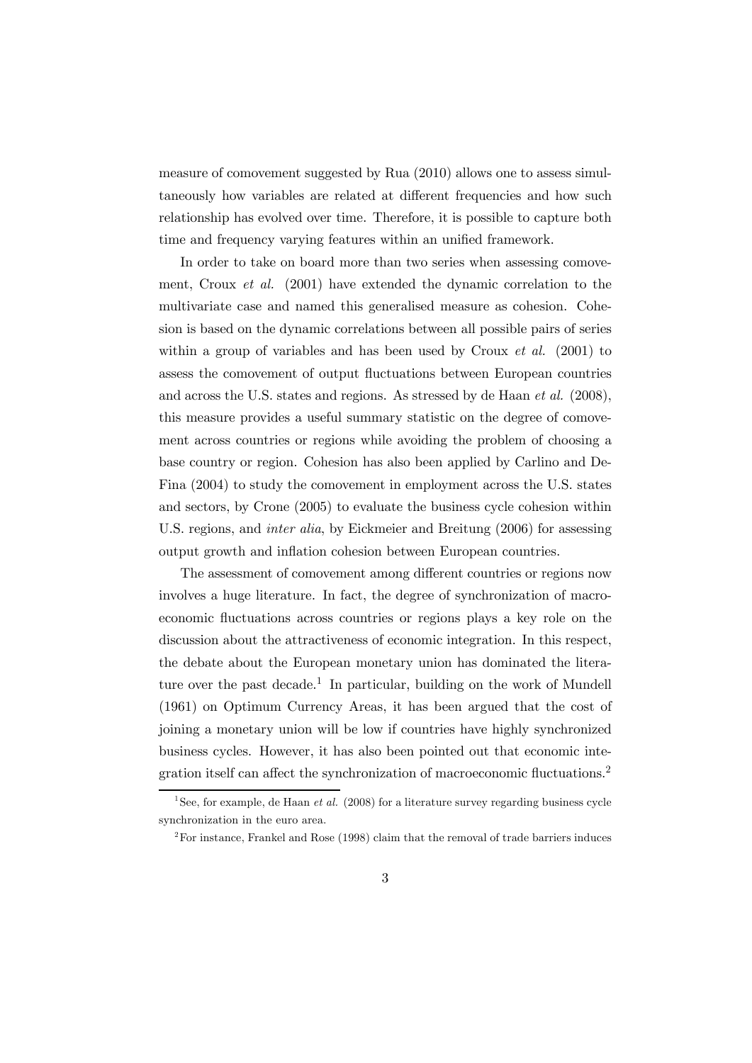measure of comovement suggested by Rua (2010) allows one to assess simultaneously how variables are related at different frequencies and how such relationship has evolved over time. Therefore, it is possible to capture both time and frequency varying features within an unified framework.

In order to take on board more than two series when assessing comovement, Croux et al. (2001) have extended the dynamic correlation to the multivariate case and named this generalised measure as cohesion. Cohesion is based on the dynamic correlations between all possible pairs of series within a group of variables and has been used by Croux *et al.* (2001) to assess the comovement of output fluctuations between European countries and across the U.S. states and regions. As stressed by de Haan et al. (2008), this measure provides a useful summary statistic on the degree of comovement across countries or regions while avoiding the problem of choosing a base country or region. Cohesion has also been applied by Carlino and De-Fina (2004) to study the comovement in employment across the U.S. states and sectors, by Crone (2005) to evaluate the business cycle cohesion within U.S. regions, and *inter alia*, by Eickmeier and Breitung (2006) for assessing output growth and inflation cohesion between European countries.

The assessment of comovement among different countries or regions now involves a huge literature. In fact, the degree of synchronization of macroeconomic fluctuations across countries or regions plays a key role on the discussion about the attractiveness of economic integration. In this respect, the debate about the European monetary union has dominated the literature over the past decade.<sup>1</sup> In particular, building on the work of Mundell (1961) on Optimum Currency Areas, it has been argued that the cost of joining a monetary union will be low if countries have highly synchronized business cycles. However, it has also been pointed out that economic integration itself can affect the synchronization of macroeconomic fluctuations.2

<sup>&</sup>lt;sup>1</sup>See, for example, de Haan *et al.* (2008) for a literature survey regarding business cycle synchronization in the euro area.

 $2^2$ For instance, Frankel and Rose (1998) claim that the removal of trade barriers induces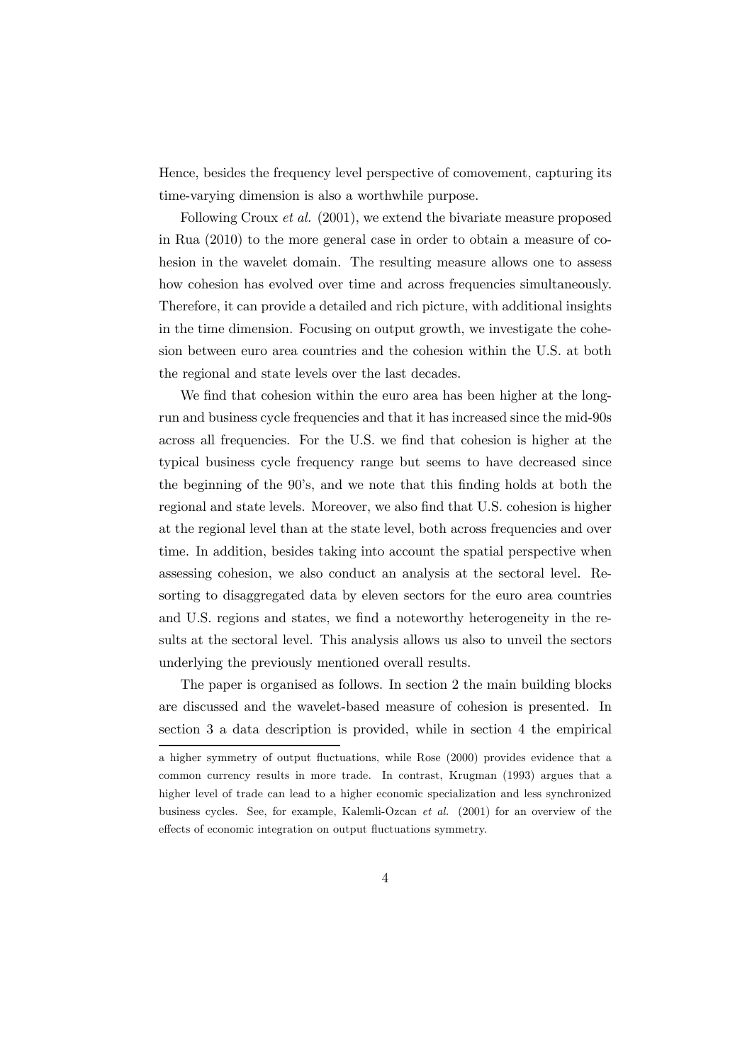Hence, besides the frequency level perspective of comovement, capturing its time-varying dimension is also a worthwhile purpose.

Following Croux et al. (2001), we extend the bivariate measure proposed in Rua (2010) to the more general case in order to obtain a measure of cohesion in the wavelet domain. The resulting measure allows one to assess how cohesion has evolved over time and across frequencies simultaneously. Therefore, it can provide a detailed and rich picture, with additional insights in the time dimension. Focusing on output growth, we investigate the cohesion between euro area countries and the cohesion within the U.S. at both the regional and state levels over the last decades.

We find that cohesion within the euro area has been higher at the longrun and business cycle frequencies and that it has increased since the mid-90s across all frequencies. For the U.S. we find that cohesion is higher at the typical business cycle frequency range but seems to have decreased since the beginning of the 90's, and we note that this finding holds at both the regional and state levels. Moreover, we also find that U.S. cohesion is higher at the regional level than at the state level, both across frequencies and over time. In addition, besides taking into account the spatial perspective when assessing cohesion, we also conduct an analysis at the sectoral level. Resorting to disaggregated data by eleven sectors for the euro area countries and U.S. regions and states, we find a noteworthy heterogeneity in the results at the sectoral level. This analysis allows us also to unveil the sectors underlying the previously mentioned overall results.

The paper is organised as follows. In section 2 the main building blocks are discussed and the wavelet-based measure of cohesion is presented. In section 3 a data description is provided, while in section 4 the empirical

a higher symmetry of output fluctuations, while Rose (2000) provides evidence that a common currency results in more trade. In contrast, Krugman (1993) argues that a higher level of trade can lead to a higher economic specialization and less synchronized business cycles. See, for example, Kalemli-Ozcan et al. (2001) for an overview of the effects of economic integration on output fluctuations symmetry.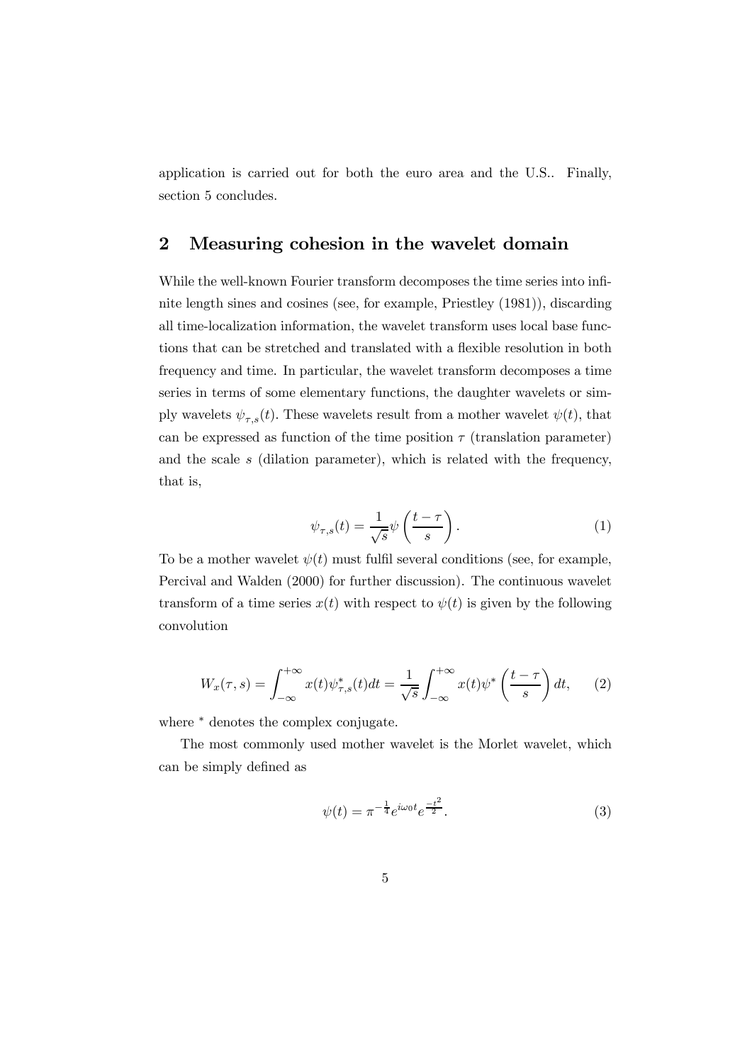application is carried out for both the euro area and the U.S.. Finally, section 5 concludes.

# 2 Measuring cohesion in the wavelet domain

While the well-known Fourier transform decomposes the time series into infinite length sines and cosines (see, for example, Priestley (1981)), discarding all time-localization information, the wavelet transform uses local base functions that can be stretched and translated with a flexible resolution in both frequency and time. In particular, the wavelet transform decomposes a time series in terms of some elementary functions, the daughter wavelets or simply wavelets  $\psi_{\tau,s}(t)$ . These wavelets result from a mother wavelet  $\psi(t)$ , that can be expressed as function of the time position  $\tau$  (translation parameter) and the scale  $s$  (dilation parameter), which is related with the frequency, that is,

$$
\psi_{\tau,s}(t) = \frac{1}{\sqrt{s}} \psi\left(\frac{t-\tau}{s}\right). \tag{1}
$$

To be a mother wavelet  $\psi(t)$  must fulfil several conditions (see, for example, Percival and Walden (2000) for further discussion). The continuous wavelet transform of a time series  $x(t)$  with respect to  $\psi(t)$  is given by the following convolution

$$
W_x(\tau, s) = \int_{-\infty}^{+\infty} x(t) \psi_{\tau, s}^*(t) dt = \frac{1}{\sqrt{s}} \int_{-\infty}^{+\infty} x(t) \psi^* \left(\frac{t - \tau}{s}\right) dt,\qquad(2)
$$

where  $*$  denotes the complex conjugate.

The most commonly used mother wavelet is the Morlet wavelet, which can be simply defined as

$$
\psi(t) = \pi^{-\frac{1}{4}} e^{i\omega_0 t} e^{\frac{-t^2}{2}}.
$$
\n(3)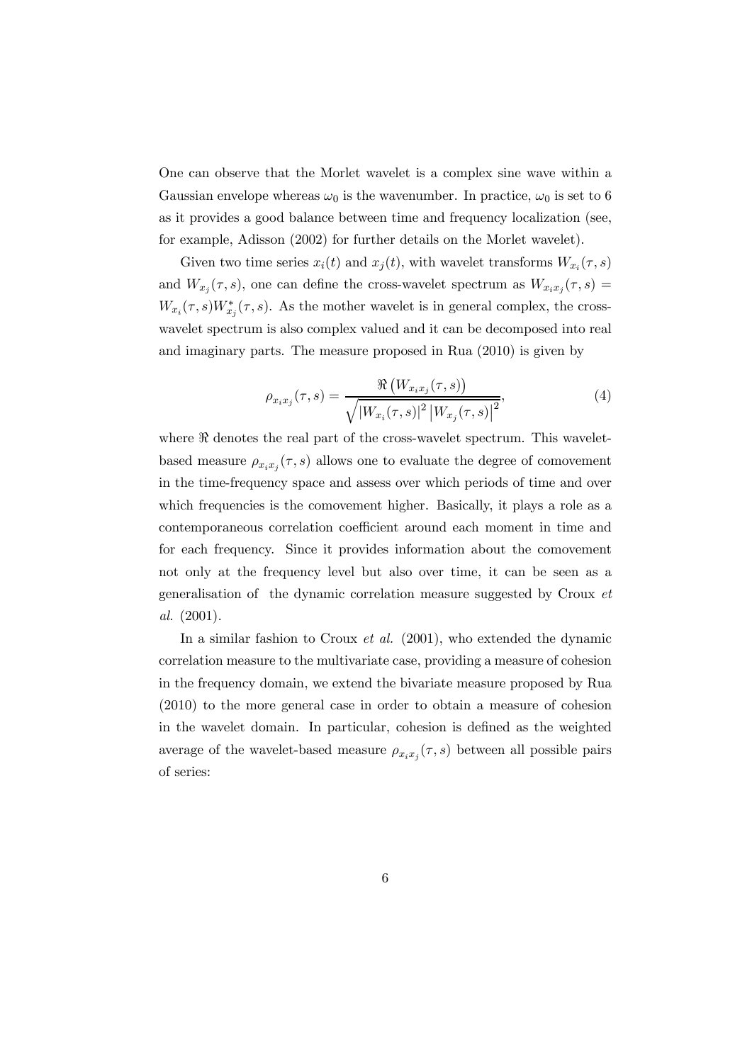One can observe that the Morlet wavelet is a complex sine wave within a Gaussian envelope whereas  $\omega_0$  is the wavenumber. In practice,  $\omega_0$  is set to 6 as it provides a good balance between time and frequency localization (see, for example, Adisson (2002) for further details on the Morlet wavelet).

Given two time series  $x_i(t)$  and  $x_j(t)$ , with wavelet transforms  $W_{x_i}(\tau, s)$ and  $W_{x_j}(\tau, s)$ , one can define the cross-wavelet spectrum as  $W_{x_i x_j}(\tau, s)$  =  $W_{x_i}(\tau, s)W_{x_i}^*(\tau, s)$ . As the mother wavelet is in general complex, the crosswavelet spectrum is also complex valued and it can be decomposed into real and imaginary parts. The measure proposed in Rua (2010) is given by

$$
\rho_{x_i x_j}(\tau, s) = \frac{\Re\left(W_{x_i x_j}(\tau, s)\right)}{\sqrt{|W_{x_i}(\tau, s)|^2 |W_{x_j}(\tau, s)|^2}},
$$
\n(4)

where  $\Re$  denotes the real part of the cross-wavelet spectrum. This waveletbased measure  $\rho_{x_ix_i}(\tau,s)$  allows one to evaluate the degree of comovement in the time-frequency space and assess over which periods of time and over which frequencies is the comovement higher. Basically, it plays a role as a contemporaneous correlation coefficient around each moment in time and for each frequency. Since it provides information about the comovement not only at the frequency level but also over time, it can be seen as a generalisation of the dynamic correlation measure suggested by Croux et al. (2001).

In a similar fashion to Croux *et al.* (2001), who extended the dynamic correlation measure to the multivariate case, providing a measure of cohesion in the frequency domain, we extend the bivariate measure proposed by Rua (2010) to the more general case in order to obtain a measure of cohesion in the wavelet domain. In particular, cohesion is defined as the weighted average of the wavelet-based measure  $\rho_{x_ix_j}(\tau,s)$  between all possible pairs of series: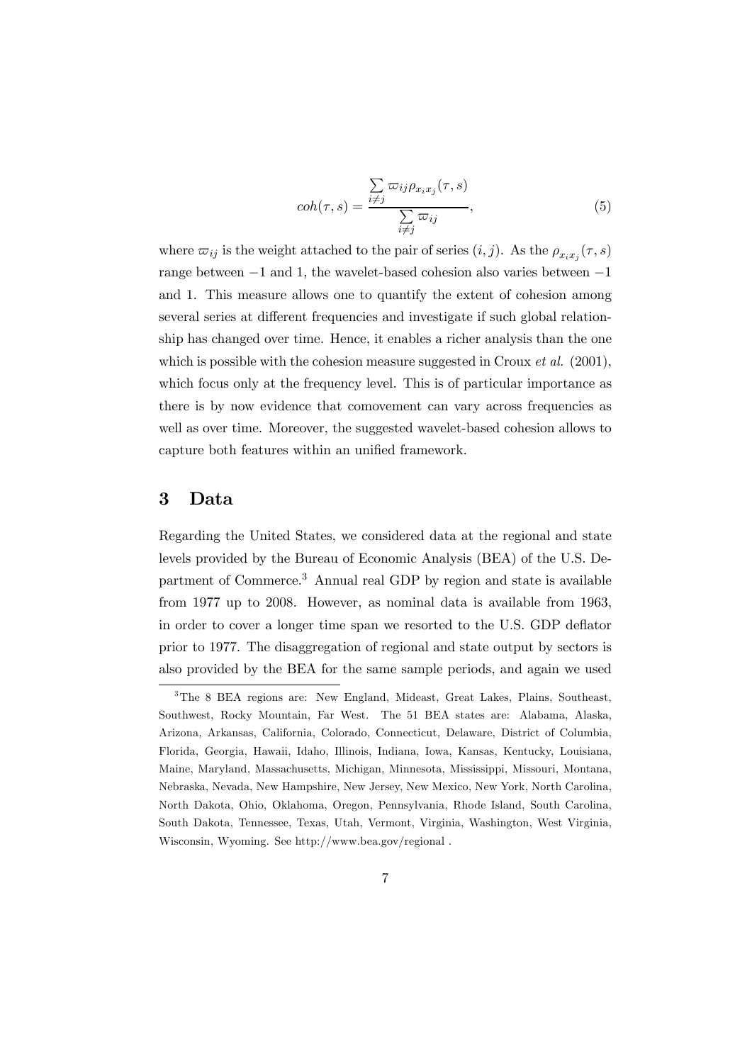$$
coh(\tau, s) = \frac{\sum\limits_{i \neq j} \varpi_{ij} \rho_{x_i x_j}(\tau, s)}{\sum\limits_{i \neq j} \varpi_{ij}}, \tag{5}
$$

where  $\varpi_{ij}$  is the weight attached to the pair of series  $(i, j)$ . As the  $\rho_{x_i x_j}(\tau, s)$ range between −1 and 1, the wavelet-based cohesion also varies between −1 and 1. This measure allows one to quantify the extent of cohesion among several series at different frequencies and investigate if such global relationship has changed over time. Hence, it enables a richer analysis than the one which is possible with the cohesion measure suggested in Croux *et al.* (2001), which focus only at the frequency level. This is of particular importance as there is by now evidence that comovement can vary across frequencies as well as over time. Moreover, the suggested wavelet-based cohesion allows to capture both features within an unified framework.

## 3 Data

Regarding the United States, we considered data at the regional and state levels provided by the Bureau of Economic Analysis (BEA) of the U.S. Department of Commerce.<sup>3</sup> Annual real GDP by region and state is available from 1977 up to 2008. However, as nominal data is available from 1963, in order to cover a longer time span we resorted to the U.S. GDP deflator prior to 1977. The disaggregation of regional and state output by sectors is also provided by the BEA for the same sample periods, and again we used

<sup>3</sup>The 8 BEA regions are: New England, Mideast, Great Lakes, Plains, Southeast, Southwest, Rocky Mountain, Far West. The 51 BEA states are: Alabama, Alaska, Arizona, Arkansas, California, Colorado, Connecticut, Delaware, District of Columbia, Florida, Georgia, Hawaii, Idaho, Illinois, Indiana, Iowa, Kansas, Kentucky, Louisiana, Maine, Maryland, Massachusetts, Michigan, Minnesota, Mississippi, Missouri, Montana, Nebraska, Nevada, New Hampshire, New Jersey, New Mexico, New York, North Carolina, North Dakota, Ohio, Oklahoma, Oregon, Pennsylvania, Rhode Island, South Carolina, South Dakota, Tennessee, Texas, Utah, Vermont, Virginia, Washington, West Virginia, Wisconsin, Wyoming. See http://www.bea.gov/regional .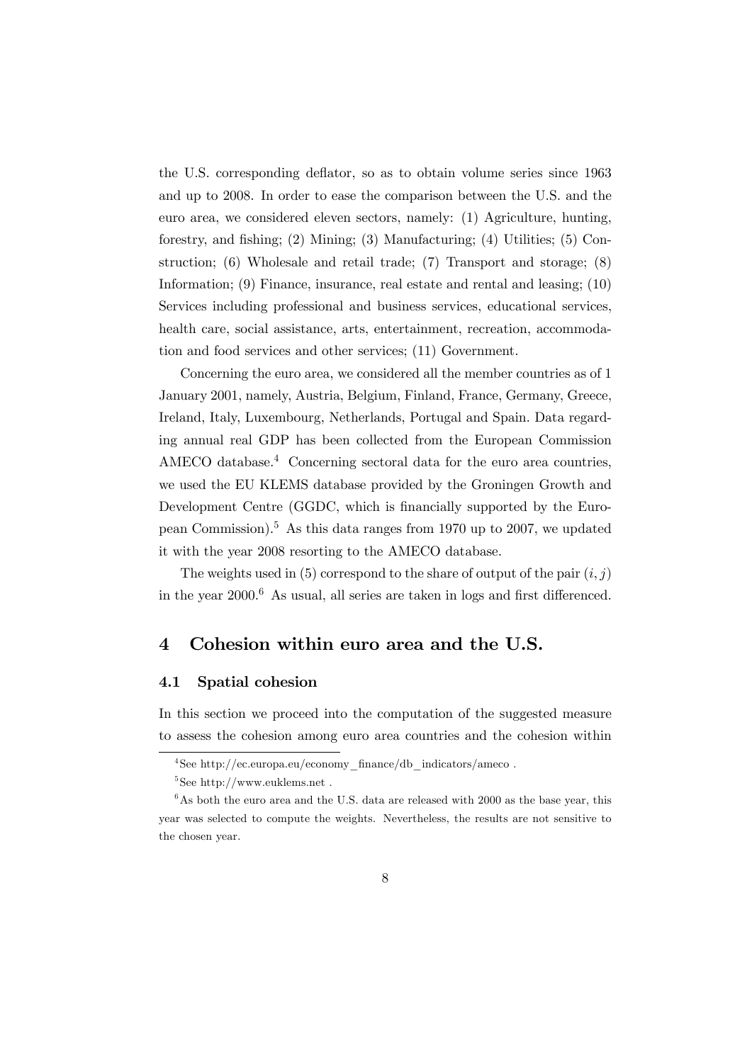the U.S. corresponding deflator, so as to obtain volume series since 1963 and up to 2008. In order to ease the comparison between the U.S. and the euro area, we considered eleven sectors, namely: (1) Agriculture, hunting, forestry, and fishing; (2) Mining; (3) Manufacturing; (4) Utilities; (5) Construction; (6) Wholesale and retail trade; (7) Transport and storage; (8) Information; (9) Finance, insurance, real estate and rental and leasing; (10) Services including professional and business services, educational services, health care, social assistance, arts, entertainment, recreation, accommodation and food services and other services; (11) Government.

Concerning the euro area, we considered all the member countries as of 1 January 2001, namely, Austria, Belgium, Finland, France, Germany, Greece, Ireland, Italy, Luxembourg, Netherlands, Portugal and Spain. Data regarding annual real GDP has been collected from the European Commission AMECO database.<sup>4</sup> Concerning sectoral data for the euro area countries, we used the EU KLEMS database provided by the Groningen Growth and Development Centre (GGDC, which is financially supported by the European Commission).<sup>5</sup> As this data ranges from 1970 up to 2007, we updated it with the year 2008 resorting to the AMECO database.

The weights used in (5) correspond to the share of output of the pair  $(i, j)$ in the year  $2000<sup>6</sup>$  As usual, all series are taken in logs and first differenced.

# 4 Cohesion within euro area and the U.S.

## 4.1 Spatial cohesion

In this section we proceed into the computation of the suggested measure to assess the cohesion among euro area countries and the cohesion within

<sup>4</sup>See http://ec.europa.eu/economy\_finance/db\_indicators/ameco .

 $5$ See http://www.euklems.net.

 $6$ As both the euro area and the U.S. data are released with 2000 as the base year, this year was selected to compute the weights. Nevertheless, the results are not sensitive to the chosen year.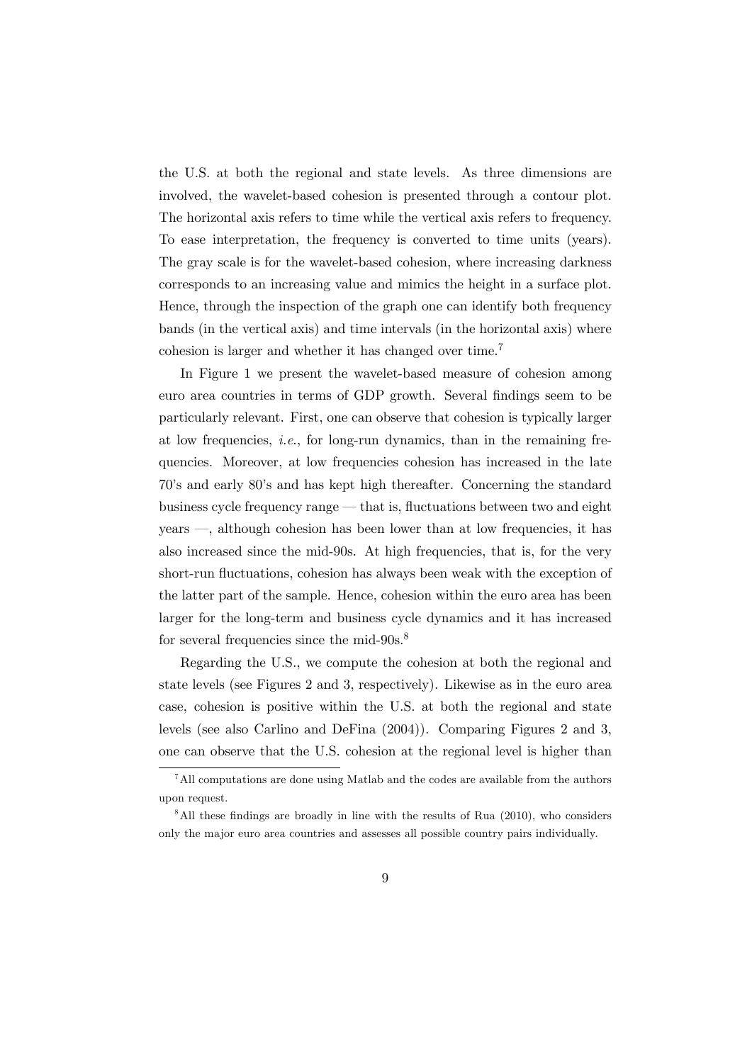the U.S. at both the regional and state levels. As three dimensions are involved, the wavelet-based cohesion is presented through a contour plot. The horizontal axis refers to time while the vertical axis refers to frequency. To ease interpretation, the frequency is converted to time units (years). The gray scale is for the wavelet-based cohesion, where increasing darkness corresponds to an increasing value and mimics the height in a surface plot. Hence, through the inspection of the graph one can identify both frequency bands (in the vertical axis) and time intervals (in the horizontal axis) where cohesion is larger and whether it has changed over time.7

In Figure 1 we present the wavelet-based measure of cohesion among euro area countries in terms of GDP growth. Several findings seem to be particularly relevant. First, one can observe that cohesion is typically larger at low frequencies, i.e., for long-run dynamics, than in the remaining frequencies. Moreover, at low frequencies cohesion has increased in the late 70's and early 80's and has kept high thereafter. Concerning the standard business cycle frequency range – that is, fluctuations between two and eight years –, although cohesion has been lower than at low frequencies, it has also increased since the mid-90s. At high frequencies, that is, for the very short-run fluctuations, cohesion has always been weak with the exception of the latter part of the sample. Hence, cohesion within the euro area has been larger for the long-term and business cycle dynamics and it has increased for several frequencies since the mid-90s.<sup>8</sup>

Regarding the U.S., we compute the cohesion at both the regional and state levels (see Figures 2 and 3, respectively). Likewise as in the euro area case, cohesion is positive within the U.S. at both the regional and state levels (see also Carlino and DeFina (2004)). Comparing Figures 2 and 3, one can observe that the U.S. cohesion at the regional level is higher than

<sup>7</sup>All computations are done using Matlab and the codes are available from the authors upon request.

 $8$ All these findings are broadly in line with the results of Rua (2010), who considers only the major euro area countries and assesses all possible country pairs individually.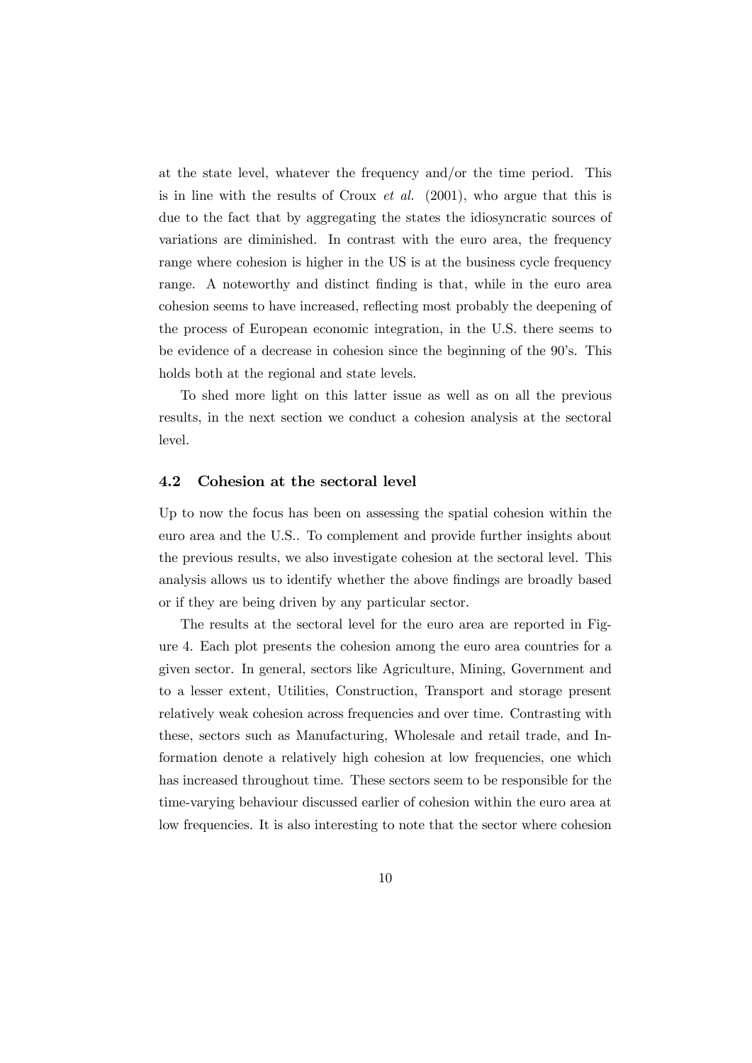at the state level, whatever the frequency and/or the time period. This is in line with the results of Croux *et al.* (2001), who argue that this is due to the fact that by aggregating the states the idiosyncratic sources of variations are diminished. In contrast with the euro area, the frequency range where cohesion is higher in the US is at the business cycle frequency range. A noteworthy and distinct finding is that, while in the euro area cohesion seems to have increased, reflecting most probably the deepening of the process of European economic integration, in the U.S. there seems to be evidence of a decrease in cohesion since the beginning of the 90's. This holds both at the regional and state levels.

To shed more light on this latter issue as well as on all the previous results, in the next section we conduct a cohesion analysis at the sectoral level.

## 4.2 Cohesion at the sectoral level

Up to now the focus has been on assessing the spatial cohesion within the euro area and the U.S.. To complement and provide further insights about the previous results, we also investigate cohesion at the sectoral level. This analysis allows us to identify whether the above findings are broadly based or if they are being driven by any particular sector.

The results at the sectoral level for the euro area are reported in Figure 4. Each plot presents the cohesion among the euro area countries for a given sector. In general, sectors like Agriculture, Mining, Government and to a lesser extent, Utilities, Construction, Transport and storage present relatively weak cohesion across frequencies and over time. Contrasting with these, sectors such as Manufacturing, Wholesale and retail trade, and Information denote a relatively high cohesion at low frequencies, one which has increased throughout time. These sectors seem to be responsible for the time-varying behaviour discussed earlier of cohesion within the euro area at low frequencies. It is also interesting to note that the sector where cohesion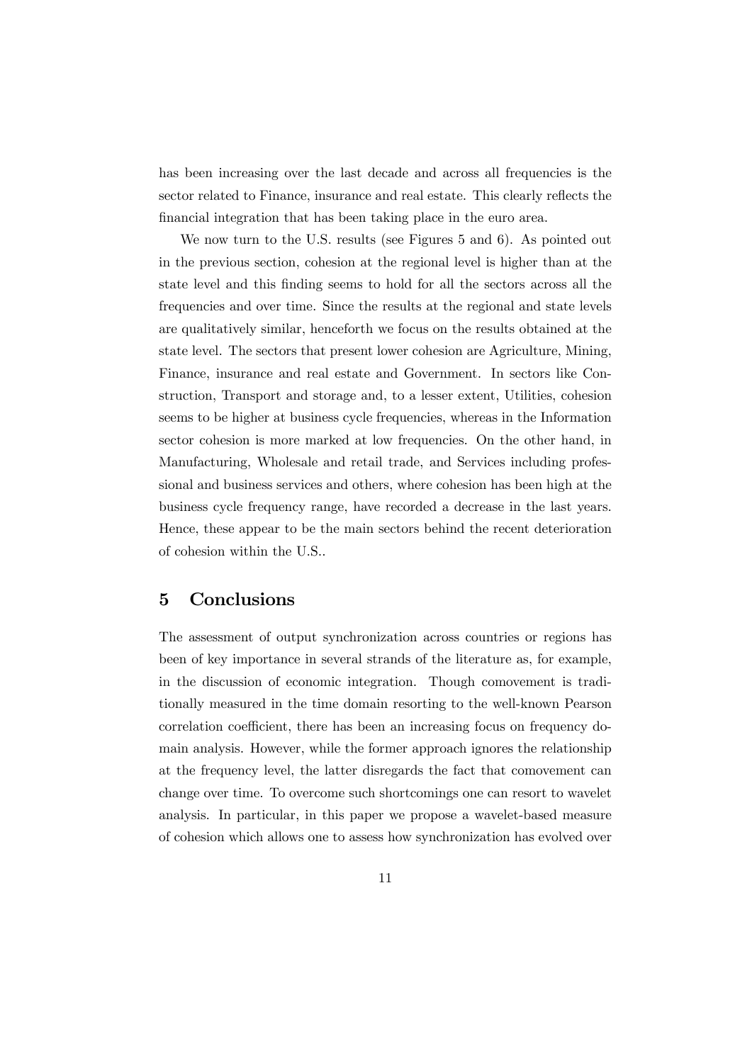has been increasing over the last decade and across all frequencies is the sector related to Finance, insurance and real estate. This clearly reflects the financial integration that has been taking place in the euro area.

We now turn to the U.S. results (see Figures 5 and 6). As pointed out in the previous section, cohesion at the regional level is higher than at the state level and this finding seems to hold for all the sectors across all the frequencies and over time. Since the results at the regional and state levels are qualitatively similar, henceforth we focus on the results obtained at the state level. The sectors that present lower cohesion are Agriculture, Mining, Finance, insurance and real estate and Government. In sectors like Construction, Transport and storage and, to a lesser extent, Utilities, cohesion seems to be higher at business cycle frequencies, whereas in the Information sector cohesion is more marked at low frequencies. On the other hand, in Manufacturing, Wholesale and retail trade, and Services including professional and business services and others, where cohesion has been high at the business cycle frequency range, have recorded a decrease in the last years. Hence, these appear to be the main sectors behind the recent deterioration of cohesion within the U.S..

# 5 Conclusions

The assessment of output synchronization across countries or regions has been of key importance in several strands of the literature as, for example, in the discussion of economic integration. Though comovement is traditionally measured in the time domain resorting to the well-known Pearson correlation coefficient, there has been an increasing focus on frequency domain analysis. However, while the former approach ignores the relationship at the frequency level, the latter disregards the fact that comovement can change over time. To overcome such shortcomings one can resort to wavelet analysis. In particular, in this paper we propose a wavelet-based measure of cohesion which allows one to assess how synchronization has evolved over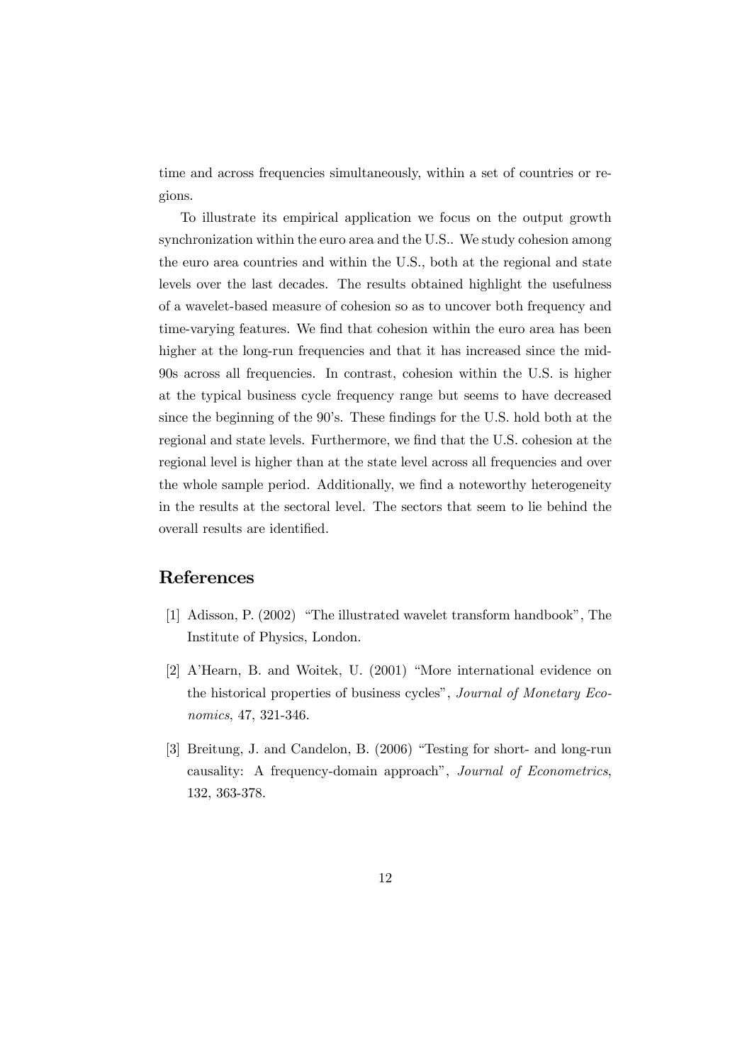time and across frequencies simultaneously, within a set of countries or regions.

To illustrate its empirical application we focus on the output growth synchronization within the euro area and the U.S.. We study cohesion among the euro area countries and within the U.S., both at the regional and state levels over the last decades. The results obtained highlight the usefulness of a wavelet-based measure of cohesion so as to uncover both frequency and time-varying features. We find that cohesion within the euro area has been higher at the long-run frequencies and that it has increased since the mid-90s across all frequencies. In contrast, cohesion within the U.S. is higher at the typical business cycle frequency range but seems to have decreased since the beginning of the 90's. These findings for the U.S. hold both at the regional and state levels. Furthermore, we find that the U.S. cohesion at the regional level is higher than at the state level across all frequencies and over the whole sample period. Additionally, we find a noteworthy heterogeneity in the results at the sectoral level. The sectors that seem to lie behind the overall results are identified.

# References

- [1] Adisson, P. (2002) "The illustrated wavelet transform handbook", The Institute of Physics, London.
- [2] A'Hearn, B. and Woitek, U. (2001) "More international evidence on the historical properties of business cycles", Journal of Monetary Economics, 47, 321-346.
- [3] Breitung, J. and Candelon, B. (2006) "Testing for short- and long-run causality: A frequency-domain approach", Journal of Econometrics, 132, 363-378.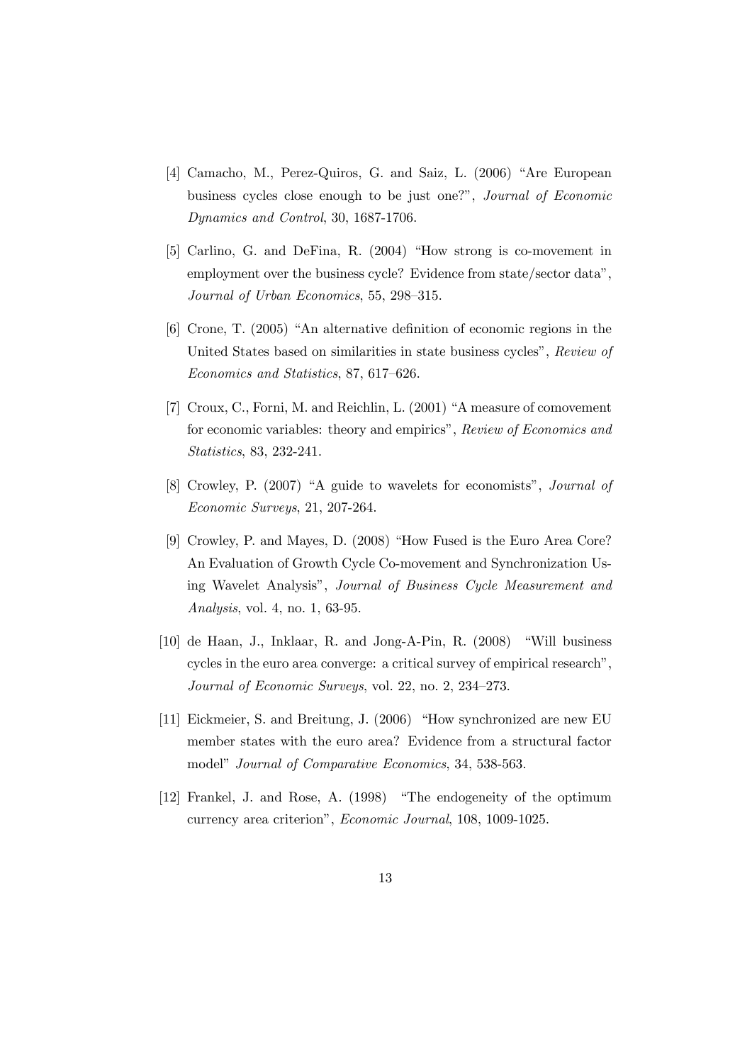- [4] Camacho, M., Perez-Quiros, G. and Saiz, L. (2006) "Are European business cycles close enough to be just one?", Journal of Economic Dynamics and Control, 30, 1687-1706.
- [5] Carlino, G. and DeFina, R. (2004) "How strong is co-movement in employment over the business cycle? Evidence from state/sector data", Journal of Urban Economics, 55, 298—315.
- [6] Crone, T. (2005) "An alternative definition of economic regions in the United States based on similarities in state business cycles", Review of Economics and Statistics, 87, 617—626.
- [7] Croux, C., Forni, M. and Reichlin, L. (2001) "A measure of comovement for economic variables: theory and empirics", Review of Economics and Statistics, 83, 232-241.
- [8] Crowley, P. (2007) "A guide to wavelets for economists", Journal of Economic Surveys, 21, 207-264.
- [9] Crowley, P. and Mayes, D. (2008) "How Fused is the Euro Area Core? An Evaluation of Growth Cycle Co-movement and Synchronization Using Wavelet Analysis", Journal of Business Cycle Measurement and Analysis, vol. 4, no. 1, 63-95.
- [10] de Haan, J., Inklaar, R. and Jong-A-Pin, R. (2008) "Will business cycles in the euro area converge: a critical survey of empirical research", Journal of Economic Surveys, vol. 22, no. 2, 234—273.
- [11] Eickmeier, S. and Breitung, J. (2006) "How synchronized are new EU member states with the euro area? Evidence from a structural factor model" Journal of Comparative Economics, 34, 538-563.
- [12] Frankel, J. and Rose, A. (1998) "The endogeneity of the optimum currency area criterion", Economic Journal, 108, 1009-1025.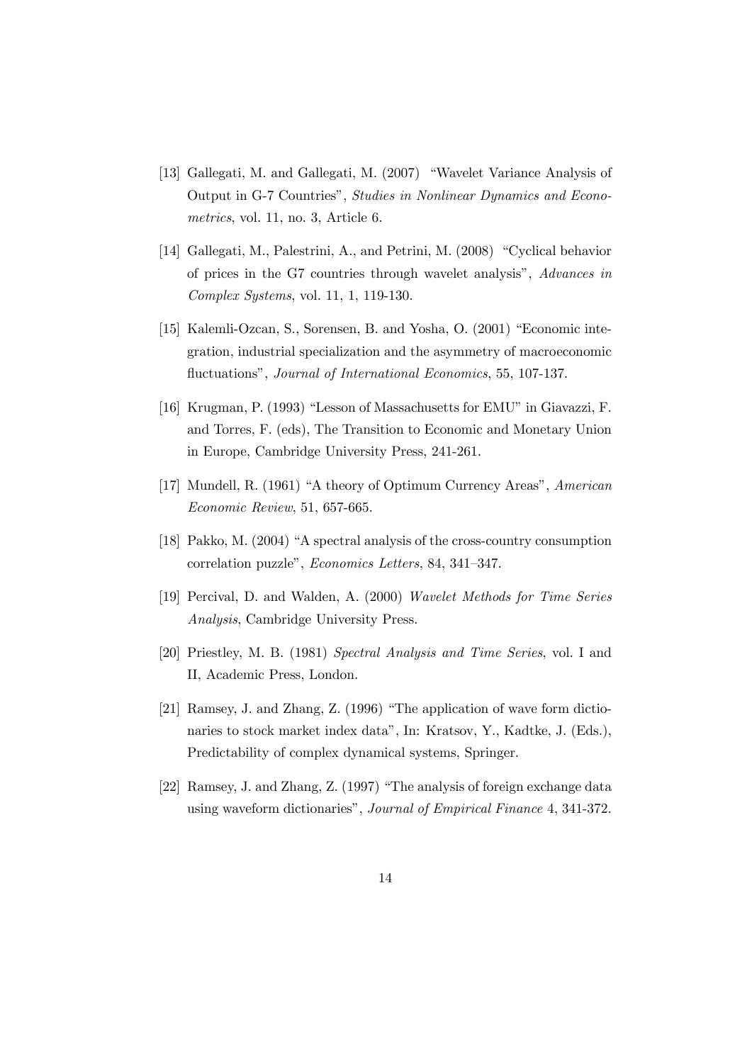- [13] Gallegati, M. and Gallegati, M. (2007) "Wavelet Variance Analysis of Output in G-7 Countries", Studies in Nonlinear Dynamics and Econometrics, vol. 11, no. 3, Article 6.
- [14] Gallegati, M., Palestrini, A., and Petrini, M. (2008) "Cyclical behavior of prices in the G7 countries through wavelet analysis", Advances in Complex Systems, vol. 11, 1, 119-130.
- [15] Kalemli-Ozcan, S., Sorensen, B. and Yosha, O. (2001) "Economic integration, industrial specialization and the asymmetry of macroeconomic fluctuations", Journal of International Economics, 55, 107-137.
- [16] Krugman, P. (1993) "Lesson of Massachusetts for EMU" in Giavazzi, F. and Torres, F. (eds), The Transition to Economic and Monetary Union in Europe, Cambridge University Press, 241-261.
- [17] Mundell, R. (1961) "A theory of Optimum Currency Areas", American Economic Review, 51, 657-665.
- [18] Pakko, M. (2004) "A spectral analysis of the cross-country consumption correlation puzzle", Economics Letters, 84, 341—347.
- [19] Percival, D. and Walden, A. (2000) Wavelet Methods for Time Series Analysis, Cambridge University Press.
- [20] Priestley, M. B. (1981) Spectral Analysis and Time Series, vol. I and II, Academic Press, London.
- [21] Ramsey, J. and Zhang, Z. (1996) "The application of wave form dictionaries to stock market index data", In: Kratsov, Y., Kadtke, J. (Eds.), Predictability of complex dynamical systems, Springer.
- [22] Ramsey, J. and Zhang, Z. (1997) "The analysis of foreign exchange data using waveform dictionaries", Journal of Empirical Finance 4, 341-372.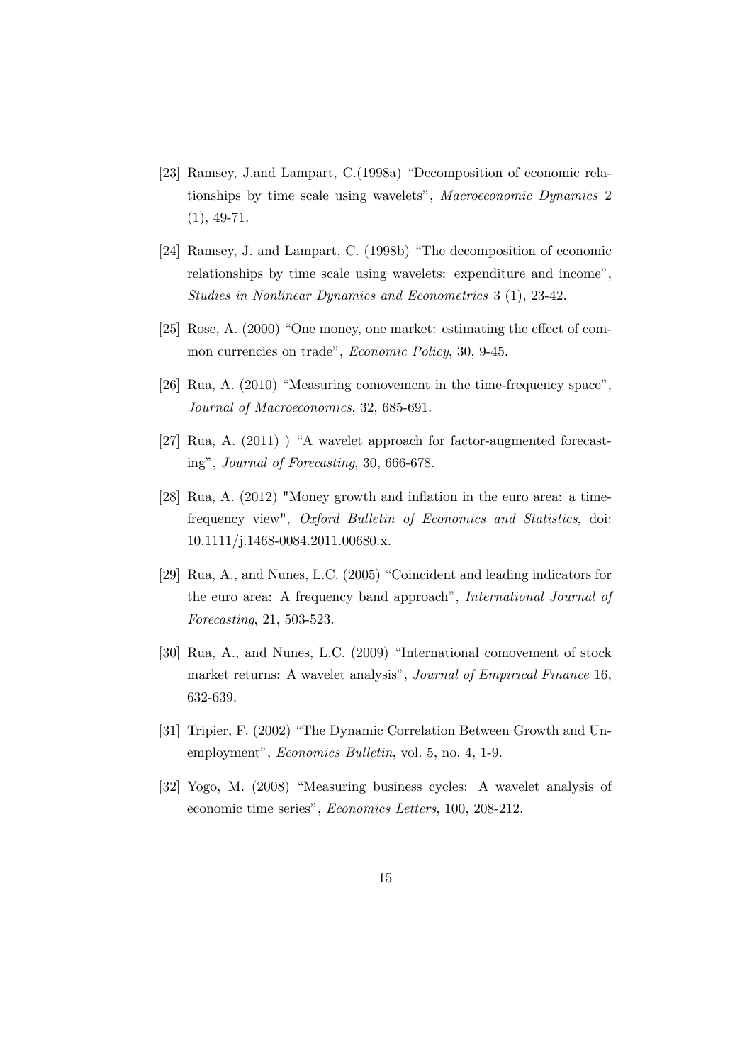- [23] Ramsey, J.and Lampart, C.(1998a) "Decomposition of economic relationships by time scale using wavelets", Macroeconomic Dynamics 2 (1), 49-71.
- [24] Ramsey, J. and Lampart, C. (1998b) "The decomposition of economic relationships by time scale using wavelets: expenditure and income", Studies in Nonlinear Dynamics and Econometrics 3 (1), 23-42.
- [25] Rose, A. (2000) "One money, one market: estimating the effect of common currencies on trade", Economic Policy, 30, 9-45.
- [26] Rua, A. (2010) "Measuring comovement in the time-frequency space", Journal of Macroeconomics, 32, 685-691.
- [27] Rua, A. (2011) ) "A wavelet approach for factor-augmented forecasting", Journal of Forecasting, 30, 666-678.
- [28] Rua, A. (2012) "Money growth and inflation in the euro area: a timefrequency view", Oxford Bulletin of Economics and Statistics, doi: 10.1111/j.1468-0084.2011.00680.x.
- [29] Rua, A., and Nunes, L.C. (2005) "Coincident and leading indicators for the euro area: A frequency band approach", International Journal of Forecasting, 21, 503-523.
- [30] Rua, A., and Nunes, L.C. (2009) "International comovement of stock market returns: A wavelet analysis", Journal of Empirical Finance 16, 632-639.
- [31] Tripier, F. (2002) "The Dynamic Correlation Between Growth and Unemployment", Economics Bulletin, vol. 5, no. 4, 1-9.
- [32] Yogo, M. (2008) "Measuring business cycles: A wavelet analysis of economic time series", Economics Letters, 100, 208-212.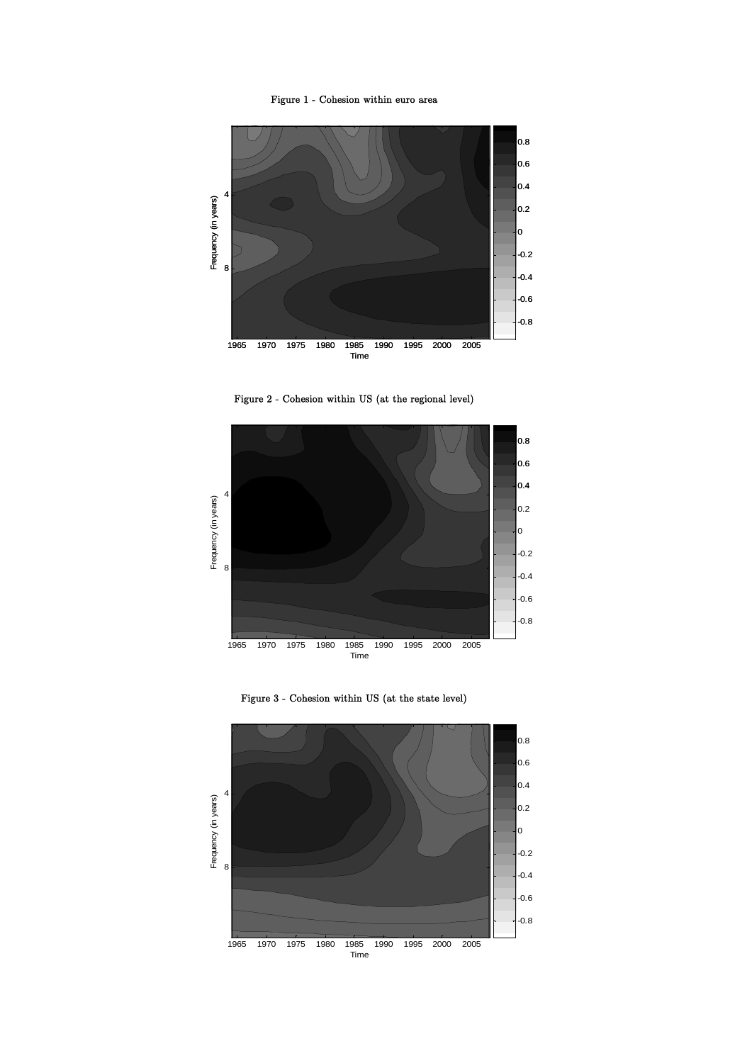Figure 1 - Cohesion within euro area



Figure 2 - Cohesion within US (at the regional level)



Figure 3 - Cohesion within US (at the state level)

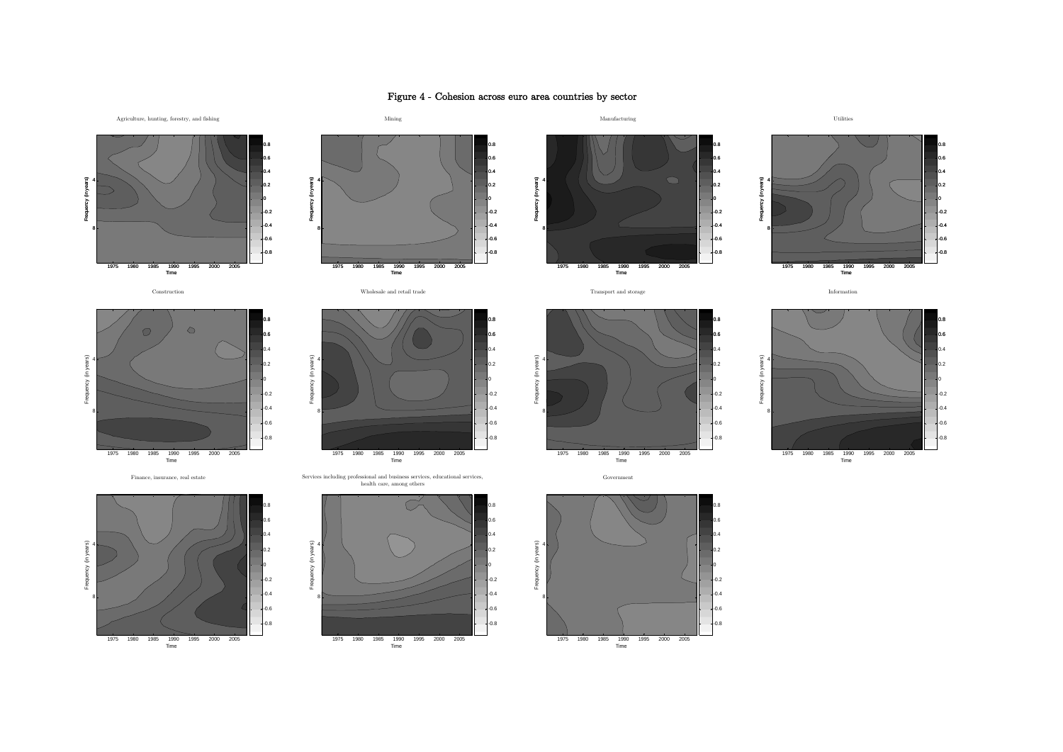### Figure 4 - Cohesion across euro area countries by sector

0.8

-0.8

-0.8 -0.6 -0.4 -0.2

በጋ 0.40.60.8









Construction **Example 2008** Wholesale and retail trade **Information** Transport and storage Information





0.6-0.6 -0.4-0.2 0.20.4



Time 19751980 1985 1990 1995 2000 2005







Finance, insurance, real estate Services including professional and business services, educational services, Government health care, among others



-0.2

-0.8

-0.8 -0.6 -0.4 -0.2

 $\overline{\phantom{a}}$ 0.40.60.8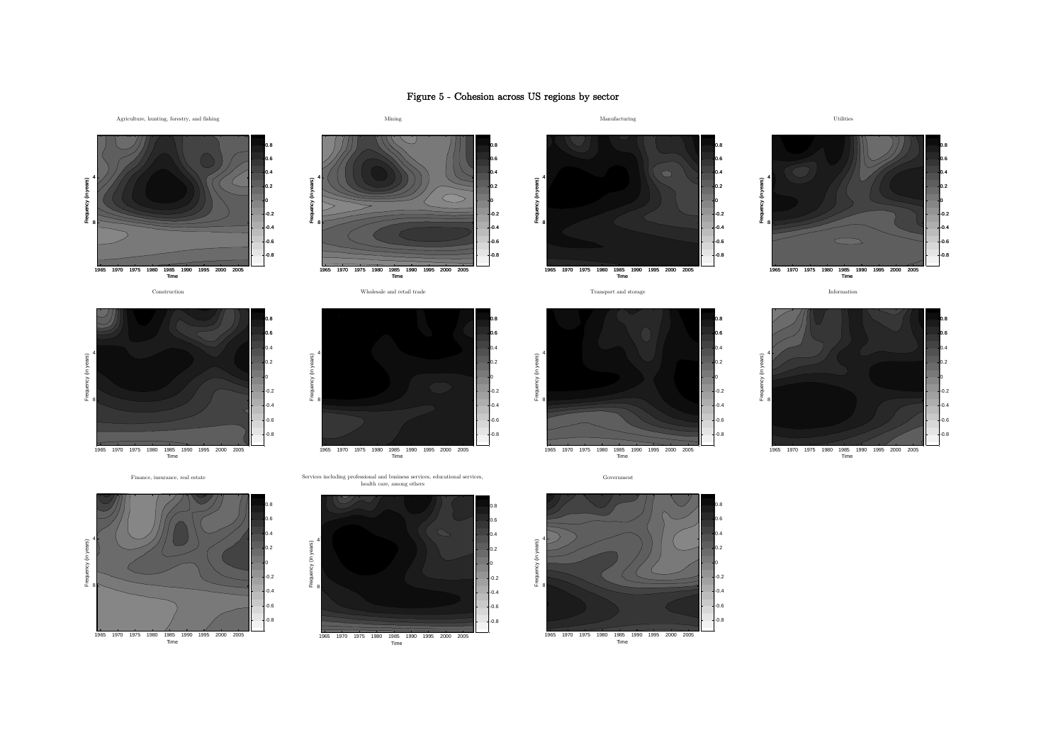## Figure 5 - Cohesion across US regions by sector

0.60.8

በጋ 0.4

-0.8-0.6-0.4-0.2















Construction **Example 2008** Wholesale and retail trade **Information** Transport and storage Information

 $\overline{\phantom{0}}$ -0.6-0.4-0.2

0.8

0.20.40.60.8



Government







Time 1965 1970 1975 1980 1985 1990 1995 2000 2005

Frequency (in years)

ay (in

Frequency (in years)

Frequency (in years

4

8





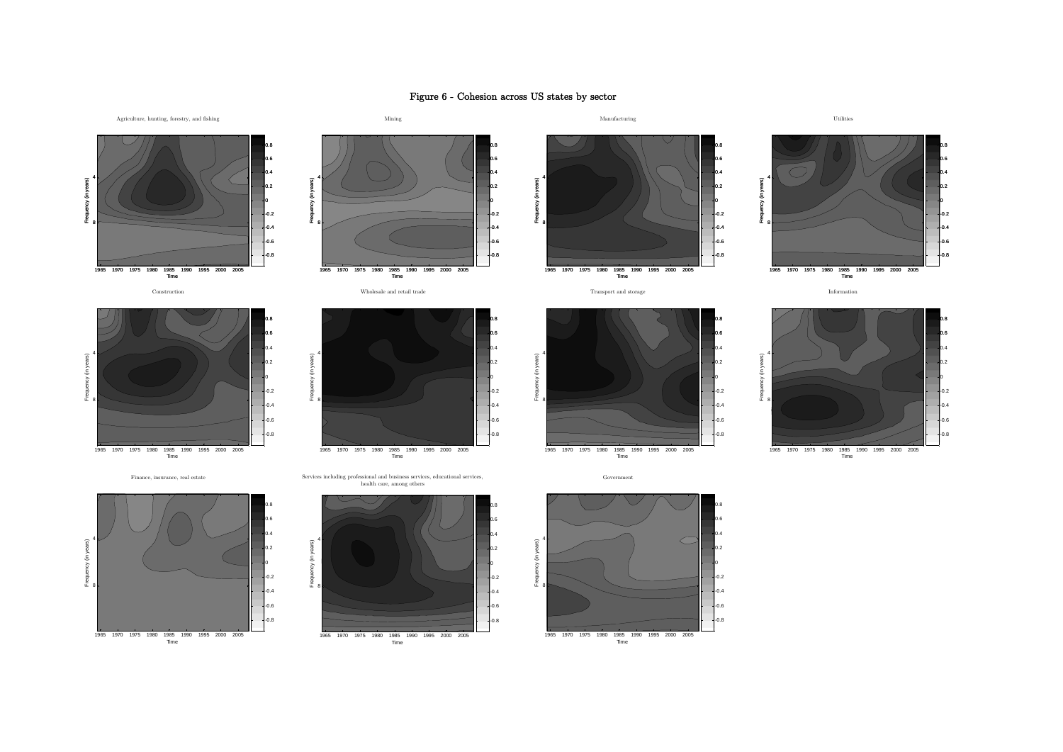## Figure 6 - Cohesion across US states by sector







Frequency (in years)





0.60.8

በጋ 0.4

-0.8-0.6-0.4-0.2 Frequency (in years) 4

Frequency (in ye



 $\overline{0}$ -0.6 -0.4 $\overline{0}$ 

0.20.40.60.8

Frequency (in years) 4

Frequency (in )

8





Time 1965 1970 1975 1980 1985 1990 1995 2000 2005

-0.4 -0.2

0.20.40.60.8



Frequency (in years)

4

8

Finance, insurance, real estate Services including professional and business services, educational services, health care, among others







Government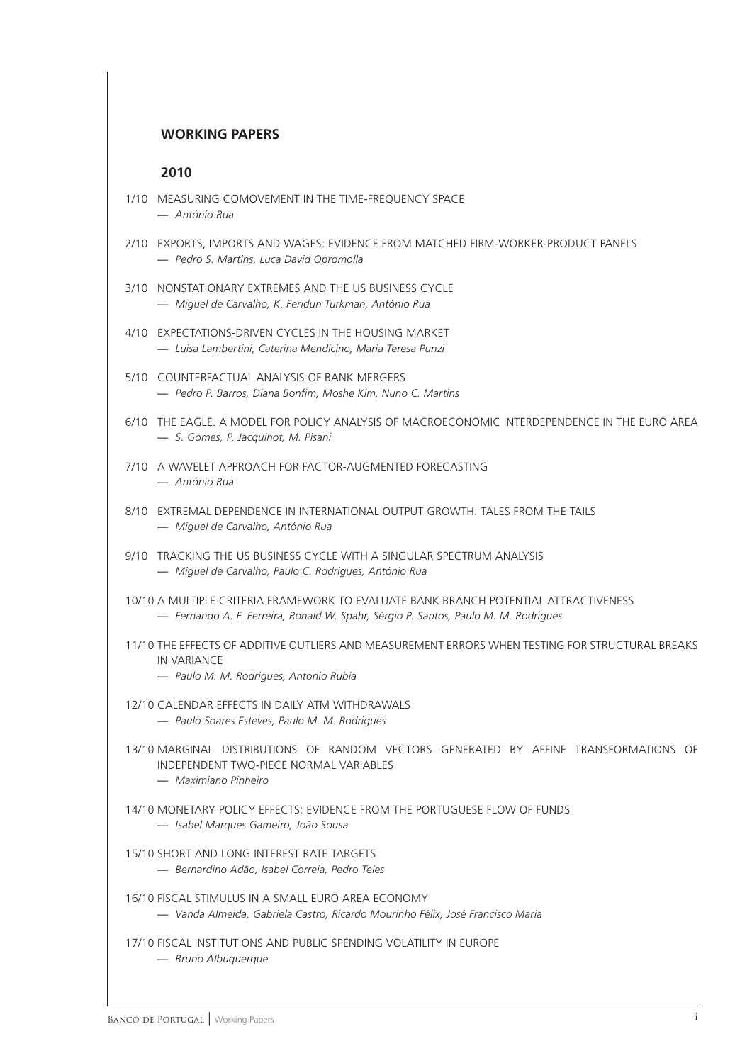# **WORKING PAPERS**

## **2010**

- 1/10 MEASURING COMOVEMENT IN THE TIME-FREQUENCY SPACE — *António Rua*
- 2/10 EXPORTS, IMPORTS AND WAGES: EVIDENCE FROM MATCHED FIRM-WORKER-PRODUCT PANELS — *Pedro S. Martins, Luca David Opromolla*
- 3/10 NONSTATIONARY EXTREMES AND THE US BUSINESS CYCLE — *Miguel de Carvalho, K. Feridun Turkman, António Rua*
- 4/10 EXPECTATIONS-DRIVEN CYCLES IN THE HOUSING MARKET — *Luisa Lambertini, Caterina Mendicino, Maria Teresa Punzi*
- 5/10 COUNTERFACTUAL ANALYSIS OF BANK MERGERS — *Pedro P. Barros, Diana Bonfi m, Moshe Kim, Nuno C. Martins*
- 6/10 THE EAGLE. A MODEL FOR POLICY ANALYSIS OF MACROECONOMIC INTERDEPENDENCE IN THE EURO AREA — *S. Gomes, P. Jacquinot, M. Pisani*
- 7/10 A WAVELET APPROACH FOR FACTOR-AUGMENTED FORECASTING — *António Rua*
- 8/10 EXTREMAL DEPENDENCE IN INTERNATIONAL OUTPUT GROWTH: TALES FROM THE TAILS — *Miguel de Carvalho, António Rua*
- 9/10 TRACKING THE US BUSINESS CYCLE WITH A SINGULAR SPECTRUM ANALYSIS — *Miguel de Carvalho, Paulo C. Rodrigues, António Rua*
- 10/10 A MULTIPLE CRITERIA FRAMEWORK TO EVALUATE BANK BRANCH POTENTIAL ATTRACTIVENESS — *Fernando A. F. Ferreira, Ronald W. Spahr, Sérgio P. Santos, Paulo M. M. Rodrigues*
- 11/10 THE EFFECTS OF ADDITIVE OUTLIERS AND MEASUREMENT ERRORS WHEN TESTING FOR STRUCTURAL BREAKS IN VARIANCE
	- *Paulo M. M. Rodrigues, Antonio Rubia*
- 12/10 CALENDAR EFFECTS IN DAILY ATM WITHDRAWALS — *Paulo Soares Esteves, Paulo M. M. Rodrigues*
- 13/10 MARGINAL DISTRIBUTIONS OF RANDOM VECTORS GENERATED BY AFFINE TRANSFORMATIONS OF INDEPENDENT TWO-PIECE NORMAL VARIABLES
	- *Maximiano Pinheiro*
- 14/10 MONETARY POLICY EFFECTS: EVIDENCE FROM THE PORTUGUESE FLOW OF FUNDS — *Isabel Marques Gameiro, João Sousa*
- 15/10 SHORT AND LONG INTEREST RATE TARGETS
	- *Bernardino Adão, Isabel Correia, Pedro Teles*
- 16/10 FISCAL STIMULUS IN A SMALL EURO AREA ECONOMY — *Vanda Almeida, Gabriela Castro, Ricardo Mourinho Félix, José Francisco Maria*
- 17/10 FISCAL INSTITUTIONS AND PUBLIC SPENDING VOLATILITY IN EUROPE
	- *Bruno Albuquerque*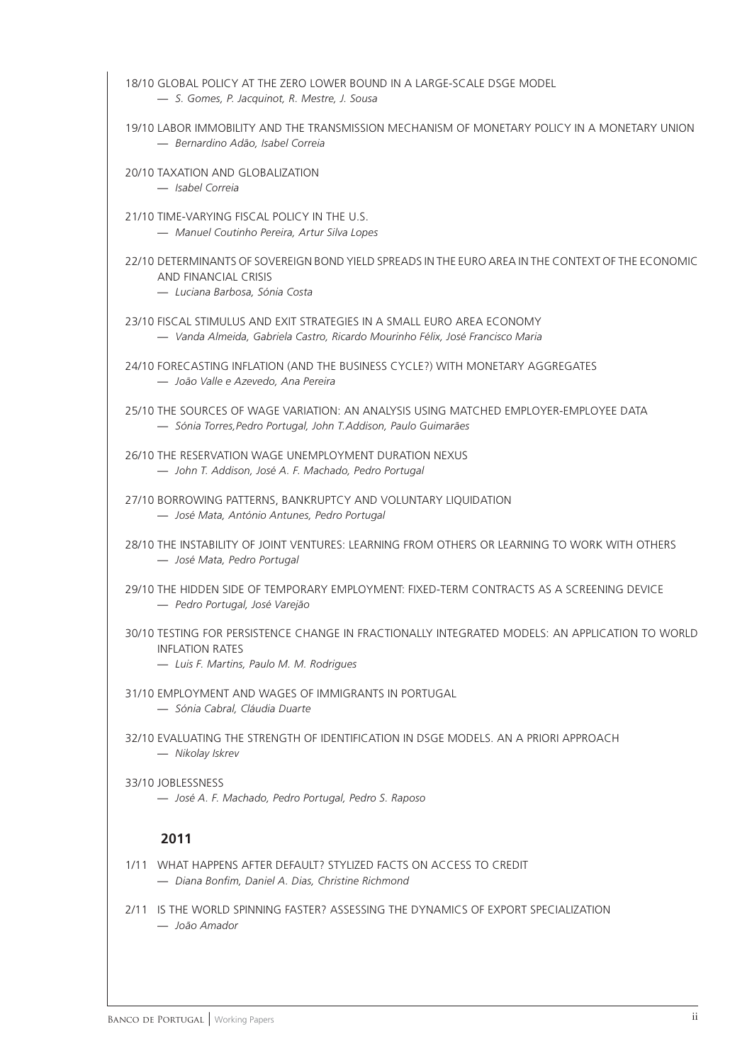18/10 GLOBAL POLICY AT THE ZERO LOWER BOUND IN A LARGE-SCALE DSGE MODEL

- *S. Gomes, P. Jacquinot, R. Mestre, J. Sousa*
- 19/10 LABOR IMMOBILITY AND THE TRANSMISSION MECHANISM OF MONETARY POLICY IN A MONETARY UNION — *Bernardino Adão, Isabel Correia*
- 20/10 TAXATION AND GLOBALIZATION
	- *Isabel Correia*
- 21/10 TIME-VARYING FISCAL POLICY IN THE U.S.
	- *Manuel Coutinho Pereira, Artur Silva Lopes*
- 22/10 DETERMINANTS OF SOVEREIGN BOND YIELD SPREADS IN THE EURO AREA IN THE CONTEXT OF THE ECONOMIC AND FINANCIAL CRISIS
	- *Luciana Barbosa, Sónia Costa*
- 23/10 FISCAL STIMULUS AND EXIT STRATEGIES IN A SMALL EURO AREA ECONOMY — *Vanda Almeida, Gabriela Castro, Ricardo Mourinho Félix, José Francisco Maria*
- 24/10 FORECASTING INFLATION (AND THE BUSINESS CYCLE?) WITH MONETARY AGGREGATES — *João Valle e Azevedo, Ana Pereira*
- 25/10 THE SOURCES OF WAGE VARIATION: AN ANALYSIS USING MATCHED EMPLOYER-EMPLOYEE DATA — *Sónia Torres,Pedro Portugal, John T.Addison, Paulo Guimarães*
- 26/10 THE RESERVATION WAGE UNEMPLOYMENT DURATION NEXUS — *John T. Addison, José A. F. Machado, Pedro Portugal*
- 27/10 BORROWING PATTERNS, BANKRUPTCY AND VOLUNTARY LIQUIDATION — *José Mata, António Antunes, Pedro Portugal*
- 28/10 THE INSTABILITY OF JOINT VENTURES: LEARNING FROM OTHERS OR LEARNING TO WORK WITH OTHERS — *José Mata, Pedro Portugal*
- 29/10 THE HIDDEN SIDE OF TEMPORARY EMPLOYMENT: FIXED-TERM CONTRACTS AS A SCREENING DEVICE — *Pedro Portugal, José Varejão*
- 30/10 TESTING FOR PERSISTENCE CHANGE IN FRACTIONALLY INTEGRATED MODELS: AN APPLICATION TO WORLD INFLATION RATES
	- *Luis F. Martins, Paulo M. M. Rodrigues*
- 31/10 EMPLOYMENT AND WAGES OF IMMIGRANTS IN PORTUGAL
	- *Sónia Cabral, Cláudia Duarte*
- 32/10 EVALUATING THE STRENGTH OF IDENTIFICATION IN DSGE MODELS. AN A PRIORI APPROACH — *Nikolay Iskrev*
- 33/10 JOBLESSNESS — *José A. F. Machado, Pedro Portugal, Pedro S. Raposo*

## **2011**

- 1/11 WHAT HAPPENS AFTER DEFAULT? STYLIZED FACTS ON ACCESS TO CREDIT — *Diana Bonfi m, Daniel A. Dias, Christine Richmond*
- 2/11 IS THE WORLD SPINNING FASTER? ASSESSING THE DYNAMICS OF EXPORT SPECIALIZATION — *João Amador*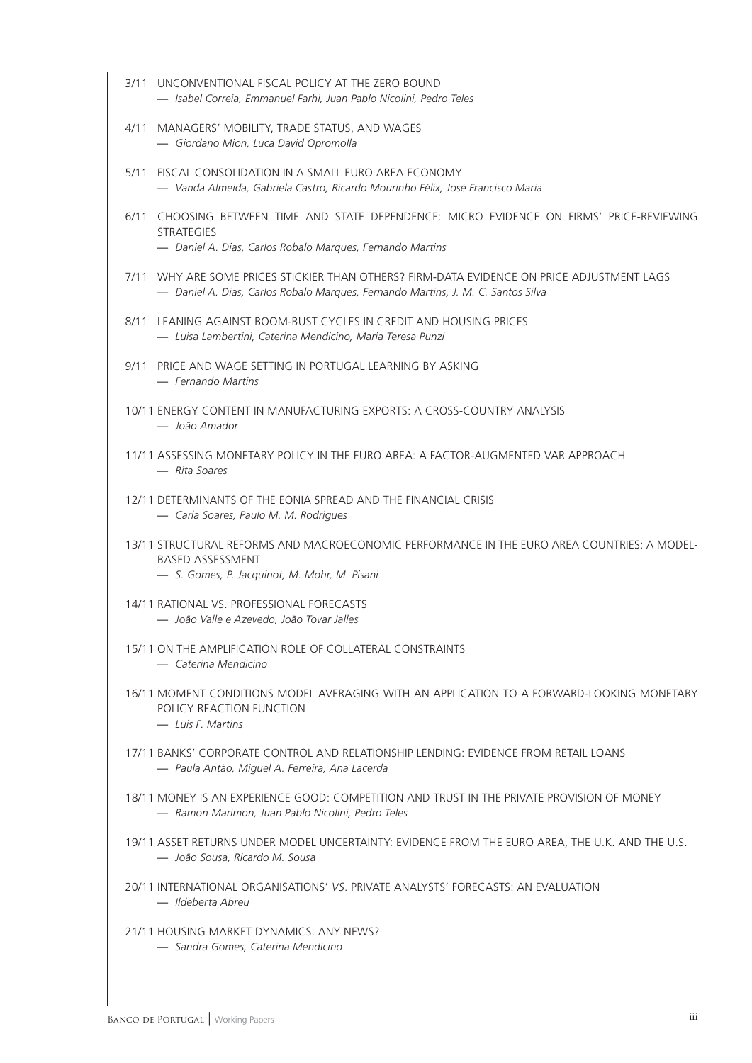3/11 UNCONVENTIONAL FISCAL POLICY AT THE ZERO BOUND — *Isabel Correia, Emmanuel Farhi, Juan Pablo Nicolini, Pedro Teles* 4/11 MANAGERS' MOBILITY, TRADE STATUS, AND WAGES — *Giordano Mion, Luca David Opromolla* 5/11 FISCAL CONSOLIDATION IN A SMALL EURO AREA ECONOMY — *Vanda Almeida, Gabriela Castro, Ricardo Mourinho Félix, José Francisco Maria* 6/11 CHOOSING BETWEEN TIME AND STATE DEPENDENCE: MICRO EVIDENCE ON FIRMS' PRICE-REVIEWING **STRATEGIES** — *Daniel A. Dias, Carlos Robalo Marques, Fernando Martins* 7/11 WHY ARE SOME PRICES STICKIER THAN OTHERS? FIRM-DATA EVIDENCE ON PRICE ADJUSTMENT LAGS — *Daniel A. Dias, Carlos Robalo Marques, Fernando Martins, J. M. C. Santos Silva* 8/11 LEANING AGAINST BOOM-BUST CYCLES IN CREDIT AND HOUSING PRICES — *Luisa Lambertini, Caterina Mendicino, Maria Teresa Punzi* 9/11 PRICE AND WAGE SETTING IN PORTUGAL LEARNING BY ASKING — *Fernando Martins* 10/11 ENERGY CONTENT IN MANUFACTURING EXPORTS: A CROSS-COUNTRY ANALYSIS — *João Amador* 11/11 ASSESSING MONETARY POLICY IN THE EURO AREA: A FACTOR-AUGMENTED VAR APPROACH — *Rita Soares* 12/11 DETERMINANTS OF THE EONIA SPREAD AND THE FINANCIAL CRISIS — *Carla Soares, Paulo M. M. Rodrigues* 13/11 STRUCTURAL REFORMS AND MACROECONOMIC PERFORMANCE IN THE EURO AREA COUNTRIES: A MODEL-BASED ASSESSMENT — *S. Gomes, P. Jacquinot, M. Mohr, M. Pisani* 14/11 RATIONAL VS. PROFESSIONAL FORECASTS — *João Valle e Azevedo, João Tovar Jalles* 15/11 ON THE AMPLIFICATION ROLE OF COLLATERAL CONSTRAINTS — *Caterina Mendicino* 16/11 MOMENT CONDITIONS MODEL AVERAGING WITH AN APPLICATION TO A FORWARD-LOOKING MONETARY POLICY REACTION FUNCTION — *Luis F. Martins* 17/11 BANKS' CORPORATE CONTROL AND RELATIONSHIP LENDING: EVIDENCE FROM RETAIL LOANS — *Paula Antão, Miguel A. Ferreira, Ana Lacerda* 18/11 MONEY IS AN EXPERIENCE GOOD: COMPETITION AND TRUST IN THE PRIVATE PROVISION OF MONEY — *Ramon Marimon, Juan Pablo Nicolini, Pedro Teles* 19/11 ASSET RETURNS UNDER MODEL UNCERTAINTY: EVIDENCE FROM THE EURO AREA, THE U.K. AND THE U.S. — *João Sousa, Ricardo M. Sousa* 20/11 INTERNATIONAL ORGANISATIONS' *VS*. PRIVATE ANALYSTS' FORECASTS: AN EVALUATION — *Ildeberta Abreu* 21/11 HOUSING MARKET DYNAMICS: ANY NEWS? — *Sandra Gomes, Caterina Mendicino*